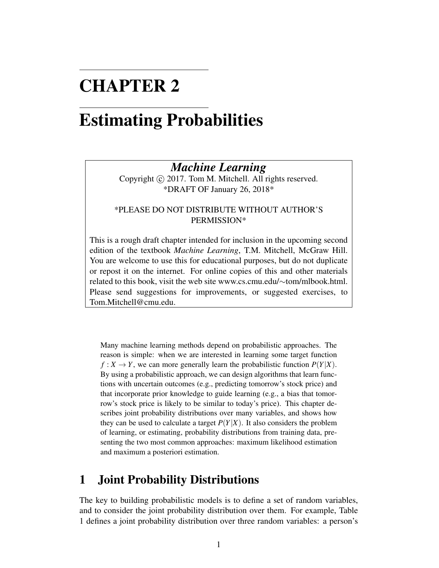# CHAPTER 2

# Estimating Probabilities

## *Machine Learning*

Copyright (c) 2017. Tom M. Mitchell. All rights reserved. \*DRAFT OF January 26, 2018\*

#### \*PLEASE DO NOT DISTRIBUTE WITHOUT AUTHOR'S PERMISSION\*

This is a rough draft chapter intended for inclusion in the upcoming second edition of the textbook *Machine Learning*, T.M. Mitchell, McGraw Hill. You are welcome to use this for educational purposes, but do not duplicate or repost it on the internet. For online copies of this and other materials related to this book, visit the web site www.cs.cmu.edu/∼tom/mlbook.html. Please send suggestions for improvements, or suggested exercises, to Tom.Mitchell@cmu.edu.

Many machine learning methods depend on probabilistic approaches. The reason is simple: when we are interested in learning some target function  $f: X \to Y$ , we can more generally learn the probabilistic function  $P(Y|X)$ . By using a probabilistic approach, we can design algorithms that learn functions with uncertain outcomes (e.g., predicting tomorrow's stock price) and that incorporate prior knowledge to guide learning (e.g., a bias that tomorrow's stock price is likely to be similar to today's price). This chapter describes joint probability distributions over many variables, and shows how they can be used to calculate a target  $P(Y|X)$ . It also considers the problem of learning, or estimating, probability distributions from training data, presenting the two most common approaches: maximum likelihood estimation and maximum a posteriori estimation.

# 1 Joint Probability Distributions

The key to building probabilistic models is to define a set of random variables, and to consider the joint probability distribution over them. For example, Table 1 defines a joint probability distribution over three random variables: a person's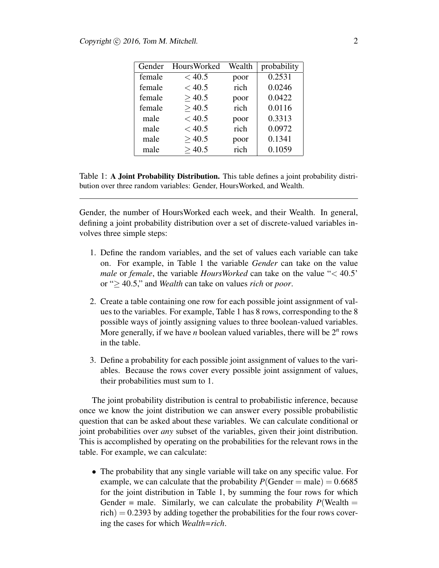| Gender | <b>HoursWorked</b> | Wealth | probability |
|--------|--------------------|--------|-------------|
| female | < 40.5             | poor   | 0.2531      |
| female | < 40.5             | rich   | 0.0246      |
| female | >40.5              | poor   | 0.0422      |
| female | >40.5              | rich   | 0.0116      |
| male   | < 40.5             | poor   | 0.3313      |
| male   | < 40.5             | rich   | 0.0972      |
| male   | >40.5              | poor   | 0.1341      |
| male   | >40.5              | rich   | 0.1059      |

Table 1: A Joint Probability Distribution. This table defines a joint probability distribution over three random variables: Gender, HoursWorked, and Wealth.

Gender, the number of HoursWorked each week, and their Wealth. In general, defining a joint probability distribution over a set of discrete-valued variables involves three simple steps:

- 1. Define the random variables, and the set of values each variable can take on. For example, in Table 1 the variable *Gender* can take on the value *male* or *female*, the variable *HoursWorked* can take on the value "< 40.5' or "≥ 40.5," and *Wealth* can take on values *rich* or *poor*.
- 2. Create a table containing one row for each possible joint assignment of values to the variables. For example, Table 1 has 8 rows, corresponding to the 8 possible ways of jointly assigning values to three boolean-valued variables. More generally, if we have *n* boolean valued variables, there will be 2*<sup>n</sup>* rows in the table.
- 3. Define a probability for each possible joint assignment of values to the variables. Because the rows cover every possible joint assignment of values, their probabilities must sum to 1.

The joint probability distribution is central to probabilistic inference, because once we know the joint distribution we can answer every possible probabilistic question that can be asked about these variables. We can calculate conditional or joint probabilities over *any* subset of the variables, given their joint distribution. This is accomplished by operating on the probabilities for the relevant rows in the table. For example, we can calculate:

• The probability that any single variable will take on any specific value. For example, we can calculate that the probability  $P(\text{Gender} = \text{male}) = 0.6685$ for the joint distribution in Table 1, by summing the four rows for which Gender = male. Similarly, we can calculate the probability  $P(\text{Weak} =$  $rich$ ) = 0.2393 by adding together the probabilities for the four rows covering the cases for which *Wealth=rich*.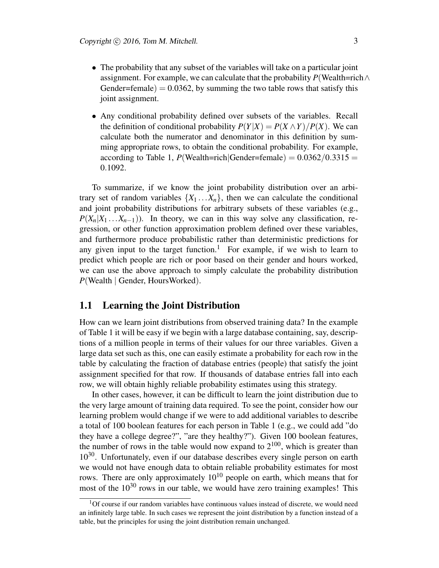- The probability that any subset of the variables will take on a particular joint assignment. For example, we can calculate that the probability  $P(\text{Weak} \wedge \text{A})$ Gender=female)  $= 0.0362$ , by summing the two table rows that satisfy this joint assignment.
- Any conditional probability defined over subsets of the variables. Recall the definition of conditional probability  $P(Y|X) = P(X \wedge Y)/P(X)$ . We can calculate both the numerator and denominator in this definition by summing appropriate rows, to obtain the conditional probability. For example, according to Table 1,  $P$ (Wealth=rich|Gender=female) =  $0.0362/0.3315$  = 0.1092.

To summarize, if we know the joint probability distribution over an arbitrary set of random variables  $\{X_1 \ldots X_n\}$ , then we can calculate the conditional and joint probability distributions for arbitrary subsets of these variables (e.g.,  $P(X_n|X_1...X_{n-1})$ ). In theory, we can in this way solve any classification, regression, or other function approximation problem defined over these variables, and furthermore produce probabilistic rather than deterministic predictions for any given input to the target function.<sup>1</sup> For example, if we wish to learn to predict which people are rich or poor based on their gender and hours worked, we can use the above approach to simply calculate the probability distribution *P*(Wealth | Gender, HoursWorked).

#### 1.1 Learning the Joint Distribution

How can we learn joint distributions from observed training data? In the example of Table 1 it will be easy if we begin with a large database containing, say, descriptions of a million people in terms of their values for our three variables. Given a large data set such as this, one can easily estimate a probability for each row in the table by calculating the fraction of database entries (people) that satisfy the joint assignment specified for that row. If thousands of database entries fall into each row, we will obtain highly reliable probability estimates using this strategy.

In other cases, however, it can be difficult to learn the joint distribution due to the very large amount of training data required. To see the point, consider how our learning problem would change if we were to add additional variables to describe a total of 100 boolean features for each person in Table 1 (e.g., we could add "do they have a college degree?", "are they healthy?"). Given 100 boolean features, the number of rows in the table would now expand to  $2^{100}$ , which is greater than 10<sup>30</sup>. Unfortunately, even if our database describes every single person on earth we would not have enough data to obtain reliable probability estimates for most rows. There are only approximately  $10^{10}$  people on earth, which means that for most of the  $10^{30}$  rows in our table, we would have zero training examples! This

 $1$ Of course if our random variables have continuous values instead of discrete, we would need an infinitely large table. In such cases we represent the joint distribution by a function instead of a table, but the principles for using the joint distribution remain unchanged.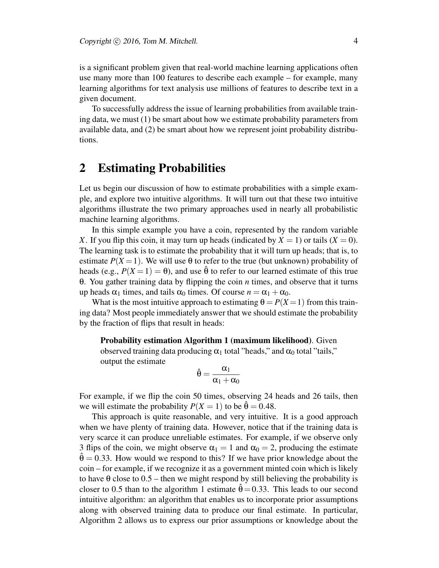is a significant problem given that real-world machine learning applications often use many more than 100 features to describe each example – for example, many learning algorithms for text analysis use millions of features to describe text in a given document.

To successfully address the issue of learning probabilities from available training data, we must (1) be smart about how we estimate probability parameters from available data, and (2) be smart about how we represent joint probability distributions.

## 2 Estimating Probabilities

Let us begin our discussion of how to estimate probabilities with a simple example, and explore two intuitive algorithms. It will turn out that these two intuitive algorithms illustrate the two primary approaches used in nearly all probabilistic machine learning algorithms.

In this simple example you have a coin, represented by the random variable *X*. If you flip this coin, it may turn up heads (indicated by  $X = 1$ ) or tails  $(X = 0)$ . The learning task is to estimate the probability that it will turn up heads; that is, to estimate  $P(X = 1)$ . We will use  $\theta$  to refer to the true (but unknown) probability of heads (e.g.,  $P(X=1) = \theta$ ), and use  $\hat{\theta}$  to refer to our learned estimate of this true θ. You gather training data by flipping the coin *n* times, and observe that it turns up heads  $\alpha_1$  times, and tails  $\alpha_0$  times. Of course  $n = \alpha_1 + \alpha_0$ .

What is the most intuitive approach to estimating  $\theta = P(X = 1)$  from this training data? Most people immediately answer that we should estimate the probability by the fraction of flips that result in heads:

#### Probability estimation Algorithm 1 (maximum likelihood). Given

observed training data producing  $\alpha_1$  total "heads," and  $\alpha_0$  total "tails," output the estimate

$$
\hat{\theta}=\frac{\alpha_1}{\alpha_1+\alpha_0}
$$

For example, if we flip the coin 50 times, observing 24 heads and 26 tails, then we will estimate the probability  $P(X = 1)$  to be  $\hat{\theta} = 0.48$ .

This approach is quite reasonable, and very intuitive. It is a good approach when we have plenty of training data. However, notice that if the training data is very scarce it can produce unreliable estimates. For example, if we observe only 3 flips of the coin, we might observe  $\alpha_1 = 1$  and  $\alpha_0 = 2$ , producing the estimate  $\hat{\theta} = 0.33$ . How would we respond to this? If we have prior knowledge about the coin – for example, if we recognize it as a government minted coin which is likely to have  $\theta$  close to  $0.5$  – then we might respond by still believing the probability is closer to 0.5 than to the algorithm 1 estimate  $\hat{\theta} = 0.33$ . This leads to our second intuitive algorithm: an algorithm that enables us to incorporate prior assumptions along with observed training data to produce our final estimate. In particular, Algorithm 2 allows us to express our prior assumptions or knowledge about the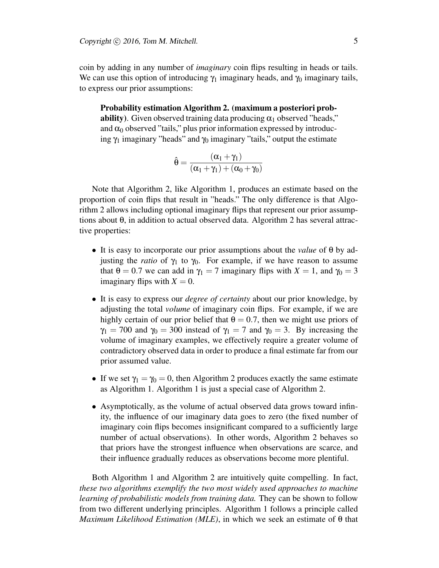coin by adding in any number of *imaginary* coin flips resulting in heads or tails. We can use this option of introducing  $\gamma_1$  imaginary heads, and  $\gamma_0$  imaginary tails, to express our prior assumptions:

Probability estimation Algorithm 2. (maximum a posteriori probability). Given observed training data producing  $\alpha_1$  observed "heads," and  $\alpha_0$  observed "tails," plus prior information expressed by introducing  $\gamma_1$  imaginary "heads" and  $\gamma_0$  imaginary "tails," output the estimate

$$
\hat{\theta} = \frac{(\alpha_1 + \gamma_1)}{(\alpha_1 + \gamma_1) + (\alpha_0 + \gamma_0)}
$$

Note that Algorithm 2, like Algorithm 1, produces an estimate based on the proportion of coin flips that result in "heads." The only difference is that Algorithm 2 allows including optional imaginary flips that represent our prior assumptions about  $\theta$ , in addition to actual observed data. Algorithm 2 has several attractive properties:

- It is easy to incorporate our prior assumptions about the *value* of θ by adjusting the *ratio* of  $\gamma_1$  to  $\gamma_0$ . For example, if we have reason to assume that  $\theta = 0.7$  we can add in  $\gamma_1 = 7$  imaginary flips with  $X = 1$ , and  $\gamma_0 = 3$ imaginary flips with  $X = 0$ .
- It is easy to express our *degree of certainty* about our prior knowledge, by adjusting the total *volume* of imaginary coin flips. For example, if we are highly certain of our prior belief that  $\theta = 0.7$ , then we might use priors of  $\gamma_1 = 700$  and  $\gamma_0 = 300$  instead of  $\gamma_1 = 7$  and  $\gamma_0 = 3$ . By increasing the volume of imaginary examples, we effectively require a greater volume of contradictory observed data in order to produce a final estimate far from our prior assumed value.
- If we set  $\gamma_1 = \gamma_0 = 0$ , then Algorithm 2 produces exactly the same estimate as Algorithm 1. Algorithm 1 is just a special case of Algorithm 2.
- Asymptotically, as the volume of actual observed data grows toward infinity, the influence of our imaginary data goes to zero (the fixed number of imaginary coin flips becomes insignificant compared to a sufficiently large number of actual observations). In other words, Algorithm 2 behaves so that priors have the strongest influence when observations are scarce, and their influence gradually reduces as observations become more plentiful.

Both Algorithm 1 and Algorithm 2 are intuitively quite compelling. In fact, *these two algorithms exemplify the two most widely used approaches to machine learning of probabilistic models from training data.* They can be shown to follow from two different underlying principles. Algorithm 1 follows a principle called *Maximum Likelihood Estimation (MLE)*, in which we seek an estimate of θ that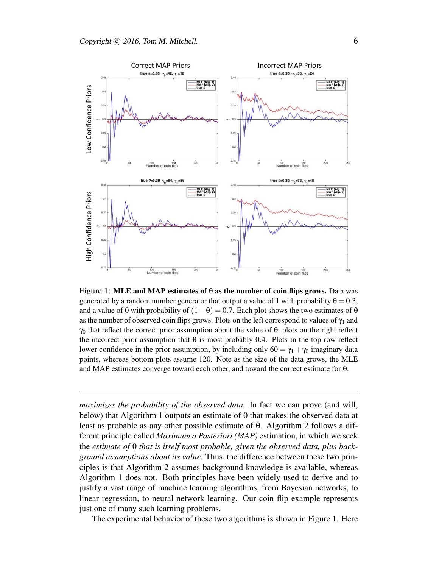

Figure 1: MLE and MAP estimates of  $\theta$  as the number of coin flips grows. Data was generated by a random number generator that output a value of 1 with probability  $\theta = 0.3$ , and a value of 0 with probability of  $(1 - \theta) = 0.7$ . Each plot shows the two estimates of  $\theta$ as the number of observed coin flips grows. Plots on the left correspond to values of  $\gamma_1$  and  $\gamma_0$  that reflect the correct prior assumption about the value of  $\theta$ , plots on the right reflect the incorrect prior assumption that  $\theta$  is most probably 0.4. Plots in the top row reflect lower confidence in the prior assumption, by including only  $60 = \gamma_1 + \gamma_0$  imaginary data points, whereas bottom plots assume 120. Note as the size of the data grows, the MLE and MAP estimates converge toward each other, and toward the correct estimate for θ.

*maximizes the probability of the observed data.* In fact we can prove (and will, below) that Algorithm 1 outputs an estimate of  $\theta$  that makes the observed data at least as probable as any other possible estimate of θ. Algorithm 2 follows a different principle called *Maximum a Posteriori (MAP)* estimation, in which we seek the *estimate of* θ *that is itself most probable, given the observed data, plus background assumptions about its value.* Thus, the difference between these two principles is that Algorithm 2 assumes background knowledge is available, whereas Algorithm 1 does not. Both principles have been widely used to derive and to justify a vast range of machine learning algorithms, from Bayesian networks, to linear regression, to neural network learning. Our coin flip example represents just one of many such learning problems.

The experimental behavior of these two algorithms is shown in Figure 1. Here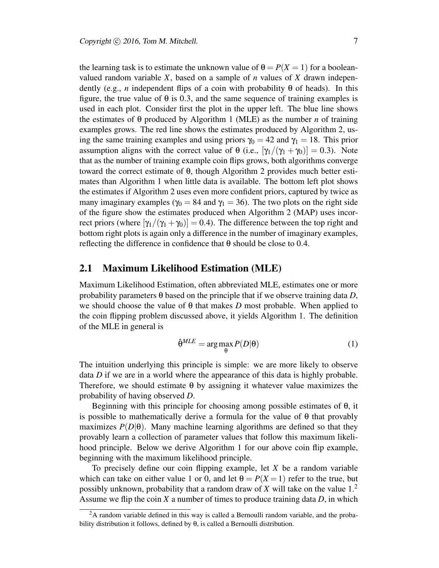the learning task is to estimate the unknown value of  $\theta = P(X = 1)$  for a booleanvalued random variable *X*, based on a sample of *n* values of *X* drawn independently (e.g., *n* independent flips of a coin with probability θ of heads). In this figure, the true value of  $\theta$  is 0.3, and the same sequence of training examples is used in each plot. Consider first the plot in the upper left. The blue line shows the estimates of  $\theta$  produced by Algorithm 1 (MLE) as the number *n* of training examples grows. The red line shows the estimates produced by Algorithm 2, using the same training examples and using priors  $\gamma_0 = 42$  and  $\gamma_1 = 18$ . This prior assumption aligns with the correct value of  $\theta$  (i.e.,  $[\gamma_1/(\gamma_1 + \gamma_0)] = 0.3$ ). Note that as the number of training example coin flips grows, both algorithms converge toward the correct estimate of θ, though Algorithm 2 provides much better estimates than Algorithm 1 when little data is available. The bottom left plot shows the estimates if Algorithm 2 uses even more confident priors, captured by twice as many imaginary examples ( $\gamma_0 = 84$  and  $\gamma_1 = 36$ ). The two plots on the right side of the figure show the estimates produced when Algorithm 2 (MAP) uses incorrect priors (where  $[\gamma_1/(\gamma_1 + \gamma_0)] = 0.4$ ). The difference between the top right and bottom right plots is again only a difference in the number of imaginary examples, reflecting the difference in confidence that  $θ$  should be close to 0.4.

#### 2.1 Maximum Likelihood Estimation (MLE)

Maximum Likelihood Estimation, often abbreviated MLE, estimates one or more probability parameters θ based on the principle that if we observe training data *D*, we should choose the value of  $\theta$  that makes *D* most probable. When applied to the coin flipping problem discussed above, it yields Algorithm 1. The definition of the MLE in general is

$$
\hat{\theta}^{MLE} = \arg \max_{\theta} P(D|\theta)
$$
 (1)

The intuition underlying this principle is simple: we are more likely to observe data *D* if we are in a world where the appearance of this data is highly probable. Therefore, we should estimate  $\theta$  by assigning it whatever value maximizes the probability of having observed *D*.

Beginning with this principle for choosing among possible estimates of θ, it is possible to mathematically derive a formula for the value of  $\theta$  that provably maximizes  $P(D|\theta)$ . Many machine learning algorithms are defined so that they provably learn a collection of parameter values that follow this maximum likelihood principle. Below we derive Algorithm 1 for our above coin flip example, beginning with the maximum likelihood principle.

To precisely define our coin flipping example, let *X* be a random variable which can take on either value 1 or 0, and let  $\theta = P(X=1)$  refer to the true, but possibly unknown, probability that a random draw of *X* will take on the value 1.<sup>2</sup> Assume we flip the coin *X* a number of times to produce training data *D*, in which

 $2A$  random variable defined in this way is called a Bernoulli random variable, and the probability distribution it follows, defined by  $\theta$ , is called a Bernoulli distribution.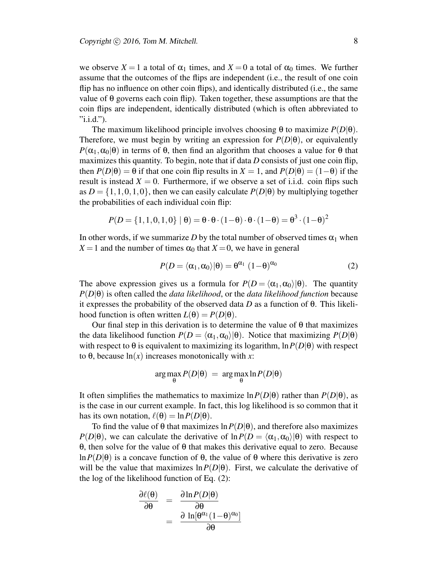we observe  $X = 1$  a total of  $\alpha_1$  times, and  $X = 0$  a total of  $\alpha_0$  times. We further assume that the outcomes of the flips are independent (i.e., the result of one coin flip has no influence on other coin flips), and identically distributed (i.e., the same value of  $\theta$  governs each coin flip). Taken together, these assumptions are that the coin flips are independent, identically distributed (which is often abbreviated to  $"i.i.d."$ ).

The maximum likelihood principle involves choosing  $\theta$  to maximize  $P(D|\theta)$ . Therefore, we must begin by writing an expression for  $P(D|\theta)$ , or equivalently  $P(\alpha_1, \alpha_0|\theta)$  in terms of  $\theta$ , then find an algorithm that chooses a value for  $\theta$  that maximizes this quantity. To begin, note that if data *D* consists of just one coin flip, then  $P(D|\theta) = \theta$  if that one coin flip results in  $X = 1$ , and  $P(D|\theta) = (1-\theta)$  if the result is instead  $X = 0$ . Furthermore, if we observe a set of i.i.d. coin flips such as  $D = \{1,1,0,1,0\}$ , then we can easily calculate  $P(D|\theta)$  by multiplying together the probabilities of each individual coin flip:

$$
P(D = \{1, 1, 0, 1, 0\} | \theta) = \theta \cdot \theta \cdot (1 - \theta) \cdot \theta \cdot (1 - \theta) = \theta^3 \cdot (1 - \theta)^2
$$

In other words, if we summarize  $D$  by the total number of observed times  $\alpha_1$  when  $X = 1$  and the number of times  $\alpha_0$  that  $X = 0$ , we have in general

$$
P(D = \langle \alpha_1, \alpha_0 \rangle | \theta) = \theta^{\alpha_1} (1 - \theta)^{\alpha_0}
$$
 (2)

The above expression gives us a formula for  $P(D = \langle \alpha_1, \alpha_0 \rangle | \theta)$ . The quantity *P*(*D*|θ) is often called the *data likelihood*, or the *data likelihood function* because it expresses the probability of the observed data *D* as a function of θ. This likelihood function is often written  $L(\theta) = P(D|\theta)$ .

Our final step in this derivation is to determine the value of  $\theta$  that maximizes the data likelihood function  $P(D = \langle \alpha_1, \alpha_0 \rangle | \theta)$ . Notice that maximizing  $P(D|\theta)$ with respect to  $\theta$  is equivalent to maximizing its logarithm,  $\ln P(D|\theta)$  with respect to θ, because ln(*x*) increases monotonically with *x*:

$$
\arg\max_{\theta} P(D|\theta) = \arg\max_{\theta} \ln P(D|\theta)
$$

It often simplifies the mathematics to maximize  $\ln P(D|\theta)$  rather than  $P(D|\theta)$ , as is the case in our current example. In fact, this log likelihood is so common that it has its own notation,  $\ell(\theta) = \ln P(D|\theta)$ .

To find the value of  $\theta$  that maximizes  $\ln P(D|\theta)$ , and therefore also maximizes *P*(*D*| $\theta$ ), we can calculate the derivative of  $\ln P(D = \langle \alpha_1, \alpha_0 \rangle | \theta)$  with respect to θ, then solve for the value of θ that makes this derivative equal to zero. Because ln  $P(D|\theta)$  is a concave function of  $\theta$ , the value of  $\theta$  where this derivative is zero will be the value that maximizes  $\ln P(D|\theta)$ . First, we calculate the derivative of the log of the likelihood function of Eq. (2):

$$
\frac{\partial \ell(\theta)}{\partial \theta} = \frac{\partial \ln P(D|\theta)}{\partial \theta} = \frac{\partial \ln P(D|\theta)}{\partial \theta}
$$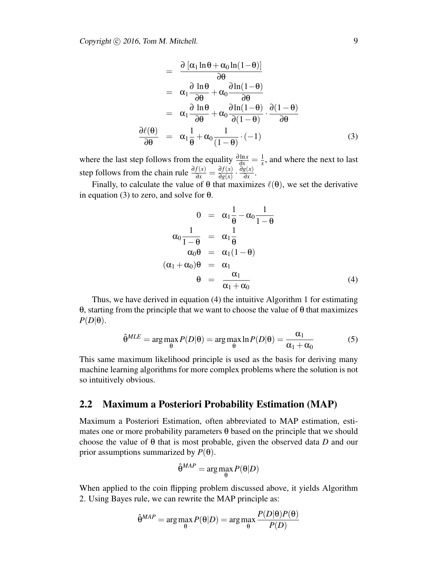$$
= \frac{\partial [\alpha_1 \ln \theta + \alpha_0 \ln(1-\theta)]}{\partial \theta} \n= \alpha_1 \frac{\partial \ln \theta}{\partial \theta} + \alpha_0 \frac{\partial \ln(1-\theta)}{\partial \theta} \n= \alpha_1 \frac{\partial \ln \theta}{\partial \theta} + \alpha_0 \frac{\partial \ln(1-\theta)}{\partial (1-\theta)} \cdot \frac{\partial (1-\theta)}{\partial \theta} \n= \alpha_1 \frac{\partial}{\partial \theta} + \alpha_0 \frac{1}{(1-\theta)} \cdot (-1)
$$
\n(3)

where the last step follows from the equality  $\frac{\partial \ln x}{\partial x} = \frac{1}{x}$  $\frac{1}{x}$ , and where the next to last step follows from the chain rule  $\frac{\partial f(x)}{\partial x} = \frac{\partial f(x)}{\partial g(x)}$  $\frac{\partial f(x)}{\partial g(x)} \cdot \frac{\partial g(x)}{\partial x}$  $rac{g(x)}{\partial x}$ .

Finally, to calculate the value of  $\theta$  that maximizes  $\ell(\theta)$ , we set the derivative in equation (3) to zero, and solve for  $θ$ .

$$
0 = \alpha_1 \frac{1}{\theta} - \alpha_0 \frac{1}{1 - \theta}
$$
  
\n
$$
\alpha_0 \frac{1}{1 - \theta} = \alpha_1 \frac{1}{\theta}
$$
  
\n
$$
\alpha_0 \theta = \alpha_1 (1 - \theta)
$$
  
\n
$$
(\alpha_1 + \alpha_0) \theta = \alpha_1
$$
  
\n
$$
\theta = \frac{\alpha_1}{\alpha_1 + \alpha_0}
$$
\n(4)

Thus, we have derived in equation (4) the intuitive Algorithm 1 for estimating θ, starting from the principle that we want to choose the value of θ that maximizes  $P(D|\theta)$ .

$$
\hat{\theta}^{MLE} = \arg \max_{\theta} P(D|\theta) = \arg \max_{\theta} \ln P(D|\theta) = \frac{\alpha_1}{\alpha_1 + \alpha_0} \tag{5}
$$

This same maximum likelihood principle is used as the basis for deriving many machine learning algorithms for more complex problems where the solution is not so intuitively obvious.

#### 2.2 Maximum a Posteriori Probability Estimation (MAP)

Maximum a Posteriori Estimation, often abbreviated to MAP estimation, estimates one or more probability parameters θ based on the principle that we should choose the value of θ that is most probable, given the observed data *D* and our prior assumptions summarized by  $P(\theta)$ .

$$
\hat{\theta}^{MAP} = \arg \max_{\theta} P(\theta|D)
$$

When applied to the coin flipping problem discussed above, it yields Algorithm 2. Using Bayes rule, we can rewrite the MAP principle as:

$$
\hat{\theta}^{MAP} = \arg \max_{\theta} P(\theta|D) = \arg \max_{\theta} \frac{P(D|\theta)P(\theta)}{P(D)}
$$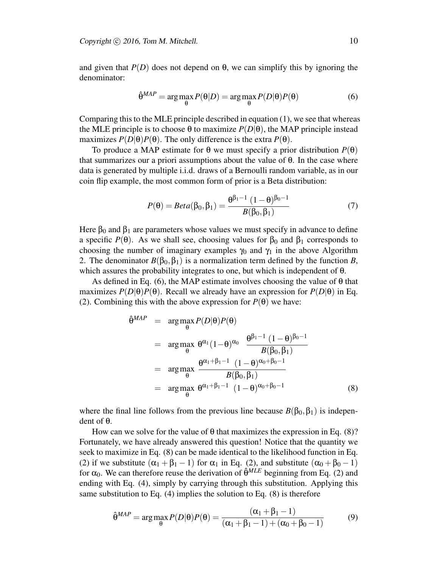and given that  $P(D)$  does not depend on  $\theta$ , we can simplify this by ignoring the denominator:

$$
\hat{\theta}^{MAP} = \arg \max_{\theta} P(\theta|D) = \arg \max_{\theta} P(D|\theta)P(\theta)
$$
(6)

Comparing this to the MLE principle described in equation (1), we see that whereas the MLE principle is to choose  $\theta$  to maximize  $P(D|\theta)$ , the MAP principle instead maximizes  $P(D|\theta)P(\theta)$ . The only difference is the extra  $P(\theta)$ .

To produce a MAP estimate for θ we must specify a prior distribution *P*(θ) that summarizes our a priori assumptions about the value of  $\theta$ . In the case where data is generated by multiple i.i.d. draws of a Bernoulli random variable, as in our coin flip example, the most common form of prior is a Beta distribution:

$$
P(\theta) = Beta(\beta_0, \beta_1) = \frac{\theta^{\beta_1 - 1} (1 - \theta)^{\beta_0 - 1}}{B(\beta_0, \beta_1)}
$$
(7)

Here  $\beta_0$  and  $\beta_1$  are parameters whose values we must specify in advance to define a specific  $P(\theta)$ . As we shall see, choosing values for  $\beta_0$  and  $\beta_1$  corresponds to choosing the number of imaginary examples  $\gamma_0$  and  $\gamma_1$  in the above Algorithm 2. The denominator  $B(\beta_0, \beta_1)$  is a normalization term defined by the function *B*, which assures the probability integrates to one, but which is independent of  $\theta$ .

As defined in Eq. (6), the MAP estimate involves choosing the value of  $\theta$  that maximizes  $P(D|\theta)P(\theta)$ . Recall we already have an expression for  $P(D|\theta)$  in Eq. (2). Combining this with the above expression for  $P(\theta)$  we have:

$$
\hat{\theta}^{MAP} = \underset{\theta}{\arg \max} P(D|\theta)P(\theta)
$$
\n
$$
= \underset{\theta}{\arg \max} \ \theta^{\alpha_1} (1-\theta)^{\alpha_0} \ \frac{\theta^{\beta_1-1} (1-\theta)^{\beta_0-1}}{B(\beta_0, \beta_1)}
$$
\n
$$
= \underset{\theta}{\arg \max} \ \frac{\theta^{\alpha_1+\beta_1-1} (1-\theta)^{\alpha_0+\beta_0-1}}{B(\beta_0, \beta_1)}
$$
\n
$$
= \underset{\theta}{\arg \max} \ \theta^{\alpha_1+\beta_1-1} (1-\theta)^{\alpha_0+\beta_0-1}
$$
\n(8)

where the final line follows from the previous line because  $B(\beta_0, \beta_1)$  is independent of θ.

How can we solve for the value of  $\theta$  that maximizes the expression in Eq. (8)? Fortunately, we have already answered this question! Notice that the quantity we seek to maximize in Eq. (8) can be made identical to the likelihood function in Eq. (2) if we substitute  $(\alpha_1 + \beta_1 - 1)$  for  $\alpha_1$  in Eq. (2), and substitute  $(\alpha_0 + \beta_0 - 1)$ for  $\alpha_0$ . We can therefore reuse the derivation of  $\hat{\theta}^{MLE}$  beginning from Eq. (2) and ending with Eq. (4), simply by carrying through this substitution. Applying this same substitution to Eq. (4) implies the solution to Eq. (8) is therefore

$$
\hat{\theta}^{MAP} = \arg \max_{\theta} P(D|\theta)P(\theta) = \frac{(\alpha_1 + \beta_1 - 1)}{(\alpha_1 + \beta_1 - 1) + (\alpha_0 + \beta_0 - 1)} \tag{9}
$$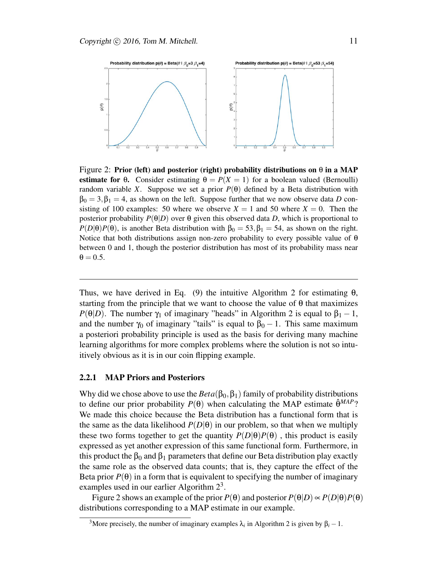

Figure 2: Prior (left) and posterior (right) probability distributions on  $\theta$  in a MAP estimate for  $\theta$ . Consider estimating  $\theta = P(X = 1)$  for a boolean valued (Bernoulli) random variable *X*. Suppose we set a prior  $P(\theta)$  defined by a Beta distribution with  $\beta_0 = 3, \beta_1 = 4$ , as shown on the left. Suppose further that we now observe data *D* consisting of 100 examples: 50 where we observe  $X = 1$  and 50 where  $X = 0$ . Then the posterior probability  $P(\theta|D)$  over  $\theta$  given this observed data *D*, which is proportional to  $P(D|\theta)P(\theta)$ , is another Beta distribution with  $\beta_0 = 53, \beta_1 = 54$ , as shown on the right. Notice that both distributions assign non-zero probability to every possible value of  $\theta$ between 0 and 1, though the posterior distribution has most of its probability mass near  $\theta = 0.5$ .

Thus, we have derived in Eq. (9) the intuitive Algorithm 2 for estimating  $\theta$ , starting from the principle that we want to choose the value of  $\theta$  that maximizes *P*( $\theta$ |*D*). The number  $\gamma_1$  of imaginary "heads" in Algorithm 2 is equal to  $\beta_1 - 1$ , and the number  $\gamma_0$  of imaginary "tails" is equal to  $\beta_0 - 1$ . This same maximum a posteriori probability principle is used as the basis for deriving many machine learning algorithms for more complex problems where the solution is not so intuitively obvious as it is in our coin flipping example.

#### 2.2.1 MAP Priors and Posteriors

Why did we chose above to use the  $Beta(\beta_0, \beta_1)$  family of probability distributions to define our prior probability  $P(\theta)$  when calculating the MAP estimate  $\hat{\theta}^{MAP}$ ? We made this choice because the Beta distribution has a functional form that is the same as the data likelihood  $P(D|\theta)$  in our problem, so that when we multiply these two forms together to get the quantity  $P(D|\theta)P(\theta)$ , this product is easily expressed as yet another expression of this same functional form. Furthermore, in this product the  $\beta_0$  and  $\beta_1$  parameters that define our Beta distribution play exactly the same role as the observed data counts; that is, they capture the effect of the Beta prior  $P(\theta)$  in a form that is equivalent to specifying the number of imaginary examples used in our earlier Algorithm  $2<sup>3</sup>$ .

Figure 2 shows an example of the prior  $P(\theta)$  and posterior  $P(\theta|D) \propto P(D|\theta)P(\theta)$ distributions corresponding to a MAP estimate in our example.

<sup>&</sup>lt;sup>3</sup>More precisely, the number of imaginary examples  $\lambda_i$  in Algorithm 2 is given by  $\beta_i - 1$ .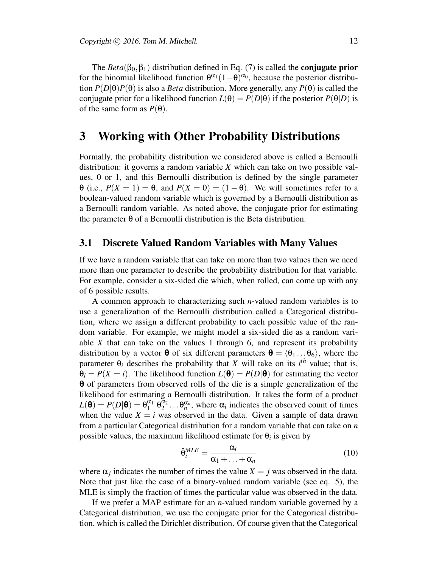The  $Beta(\beta_0, \beta_1)$  distribution defined in Eq. (7) is called the **conjugate prior** for the binomial likelihood function  $\theta^{\alpha_1}(1-\theta)^{\alpha_0}$ , because the posterior distribution  $P(D|\theta)P(\theta)$  is also a *Beta* distribution. More generally, any  $P(\theta)$  is called the conjugate prior for a likelihood function  $L(\theta) = P(D|\theta)$  if the posterior  $P(\theta|D)$  is of the same form as  $P(\theta)$ .

### 3 Working with Other Probability Distributions

Formally, the probability distribution we considered above is called a Bernoulli distribution: it governs a random variable *X* which can take on two possible values, 0 or 1, and this Bernoulli distribution is defined by the single parameter  $\theta$  (i.e.,  $P(X = 1) = \theta$ , and  $P(X = 0) = (1 - \theta)$ . We will sometimes refer to a boolean-valued random variable which is governed by a Bernoulli distribution as a Bernoulli random variable. As noted above, the conjugate prior for estimating the parameter θ of a Bernoulli distribution is the Beta distribution.

#### 3.1 Discrete Valued Random Variables with Many Values

If we have a random variable that can take on more than two values then we need more than one parameter to describe the probability distribution for that variable. For example, consider a six-sided die which, when rolled, can come up with any of 6 possible results.

A common approach to characterizing such *n*-valued random variables is to use a generalization of the Bernoulli distribution called a Categorical distribution, where we assign a different probability to each possible value of the random variable. For example, we might model a six-sided die as a random variable *X* that can take on the values 1 through 6, and represent its probability distribution by a vector **θ** of six different parameters  $\mathbf{\theta} = \langle \theta_1 \dots \theta_6 \rangle$ , where the parameter  $\theta_i$  describes the probability that *X* will take on its  $i^{th}$  value; that is,  $\theta_i = P(X = i)$ . The likelihood function  $L(\theta) = P(D|\theta)$  for estimating the vector θ of parameters from observed rolls of the die is a simple generalization of the likelihood for estimating a Bernoulli distribution. It takes the form of a product  $L(\mathbf{\Theta}) = P(D|\mathbf{\Theta}) = \theta_1^{\alpha_1}$  $\frac{\alpha_1}{1}$   $\theta_2^{\alpha_2}$  $\alpha_2^{\alpha_2} \dots \theta_n^{\alpha_n}$ , where  $\alpha_i$  indicates the observed count of times when the value  $X = i$  was observed in the data. Given a sample of data drawn from a particular Categorical distribution for a random variable that can take on *n* possible values, the maximum likelihood estimate for  $\theta_i$  is given by

$$
\hat{\theta}_i^{MLE} = \frac{\alpha_i}{\alpha_1 + \ldots + \alpha_n} \tag{10}
$$

where  $\alpha_j$  indicates the number of times the value  $X = j$  was observed in the data. Note that just like the case of a binary-valued random variable (see eq. 5), the MLE is simply the fraction of times the particular value was observed in the data.

If we prefer a MAP estimate for an *n*-valued random variable governed by a Categorical distribution, we use the conjugate prior for the Categorical distribution, which is called the Dirichlet distribution. Of course given that the Categorical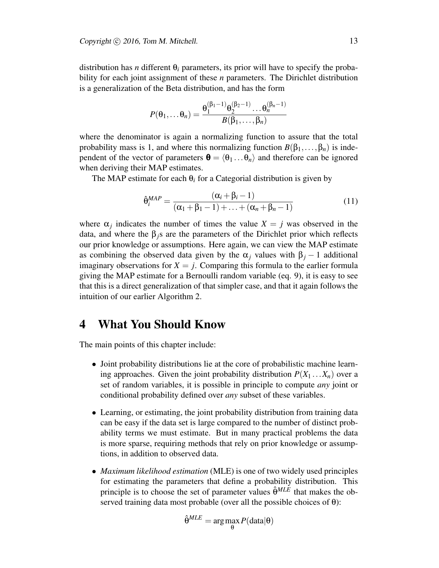distribution has *n* different  $\theta_i$  parameters, its prior will have to specify the probability for each joint assignment of these *n* parameters. The Dirichlet distribution is a generalization of the Beta distribution, and has the form

$$
P(\theta_1,\ldots,\theta_n)=\frac{\theta_1^{(\beta_1-1)}\theta_2^{(\beta_2-1)}\ldots\theta_n^{(\beta_n-1)}}{B(\beta_1,\ldots,\beta_n)}
$$

where the denominator is again a normalizing function to assure that the total probability mass is 1, and where this normalizing function  $B(\beta_1,\ldots,\beta_n)$  is independent of the vector of parameters  $\mathbf{\theta} = \langle \theta_1 ... \theta_n \rangle$  and therefore can be ignored when deriving their MAP estimates.

The MAP estimate for each  $\theta_i$  for a Categorial distribution is given by

$$
\hat{\theta}_i^{MAP} = \frac{(\alpha_i + \beta_i - 1)}{(\alpha_1 + \beta_1 - 1) + \ldots + (\alpha_n + \beta_n - 1)}
$$
(11)

where  $\alpha_j$  indicates the number of times the value  $X = j$  was observed in the data, and where the  $\beta_j$ s are the parameters of the Dirichlet prior which reflects our prior knowledge or assumptions. Here again, we can view the MAP estimate as combining the observed data given by the  $\alpha_j$  values with  $\beta_j - 1$  additional imaginary observations for  $X = j$ . Comparing this formula to the earlier formula giving the MAP estimate for a Bernoulli random variable (eq. 9), it is easy to see that this is a direct generalization of that simpler case, and that it again follows the intuition of our earlier Algorithm 2.

## 4 What You Should Know

The main points of this chapter include:

- Joint probability distributions lie at the core of probabilistic machine learning approaches. Given the joint probability distribution  $P(X_1 \ldots X_n)$  over a set of random variables, it is possible in principle to compute *any* joint or conditional probability defined over *any* subset of these variables.
- Learning, or estimating, the joint probability distribution from training data can be easy if the data set is large compared to the number of distinct probability terms we must estimate. But in many practical problems the data is more sparse, requiring methods that rely on prior knowledge or assumptions, in addition to observed data.
- *Maximum likelihood estimation* (MLE) is one of two widely used principles for estimating the parameters that define a probability distribution. This principle is to choose the set of parameter values  $\hat{\theta}^{MLE}$  that makes the observed training data most probable (over all the possible choices of θ):

$$
\hat{\theta}^{MLE} = \arg\max_{\theta} P(\text{data}|\theta)
$$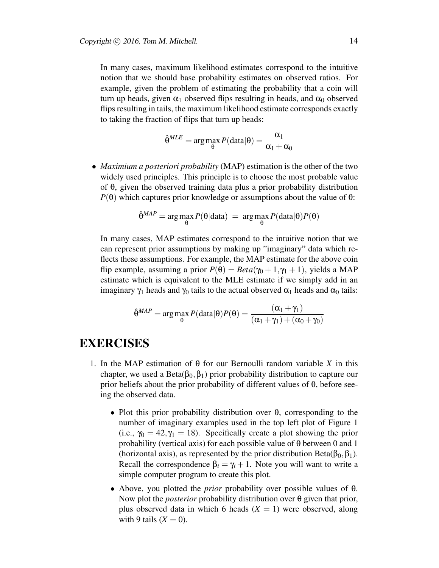In many cases, maximum likelihood estimates correspond to the intuitive notion that we should base probability estimates on observed ratios. For example, given the problem of estimating the probability that a coin will turn up heads, given  $\alpha_1$  observed flips resulting in heads, and  $\alpha_0$  observed flips resulting in tails, the maximum likelihood estimate corresponds exactly to taking the fraction of flips that turn up heads:

$$
\hat{\theta}^{MLE} = \arg \max_{\theta} P(data|\theta) = \frac{\alpha_1}{\alpha_1 + \alpha_0}
$$

• *Maximium a posteriori probability* (MAP) estimation is the other of the two widely used principles. This principle is to choose the most probable value of θ, given the observed training data plus a prior probability distribution *P*( $θ$ ) which captures prior knowledge or assumptions about the value of  $θ$ :

$$
\hat{\theta}^{MAP} = \arg \max_{\theta} P(\theta | \text{data}) = \arg \max_{\theta} P(\text{data} | \theta) P(\theta)
$$

In many cases, MAP estimates correspond to the intuitive notion that we can represent prior assumptions by making up "imaginary" data which reflects these assumptions. For example, the MAP estimate for the above coin flip example, assuming a prior  $P(\theta) = Beta(\gamma_0 + 1, \gamma_1 + 1)$ , yields a MAP estimate which is equivalent to the MLE estimate if we simply add in an imaginary  $\gamma_1$  heads and  $\gamma_0$  tails to the actual observed  $\alpha_1$  heads and  $\alpha_0$  tails:

$$
\hat{\theta}^{MAP} = \arg \max_{\theta} P(\text{data}|\theta)P(\theta) = \frac{(\alpha_1 + \gamma_1)}{(\alpha_1 + \gamma_1) + (\alpha_0 + \gamma_0)}
$$

## EXERCISES

- 1. In the MAP estimation of  $\theta$  for our Bernoulli random variable *X* in this chapter, we used a Beta( $\beta_0, \beta_1$ ) prior probability distribution to capture our prior beliefs about the prior probability of different values of  $\theta$ , before seeing the observed data.
	- Plot this prior probability distribution over θ, corresponding to the number of imaginary examples used in the top left plot of Figure 1 (i.e.,  $\gamma_0 = 42, \gamma_1 = 18$ ). Specifically create a plot showing the prior probability (vertical axis) for each possible value of  $\theta$  between 0 and 1 (horizontal axis), as represented by the prior distribution Beta( $\beta_0, \beta_1$ ). Recall the correspondence  $\beta_i = \gamma_i + 1$ . Note you will want to write a simple computer program to create this plot.
	- Above, you plotted the *prior* probability over possible values of θ. Now plot the *posterior* probability distribution over θ given that prior, plus observed data in which 6 heads  $(X = 1)$  were observed, along with 9 tails  $(X = 0)$ .